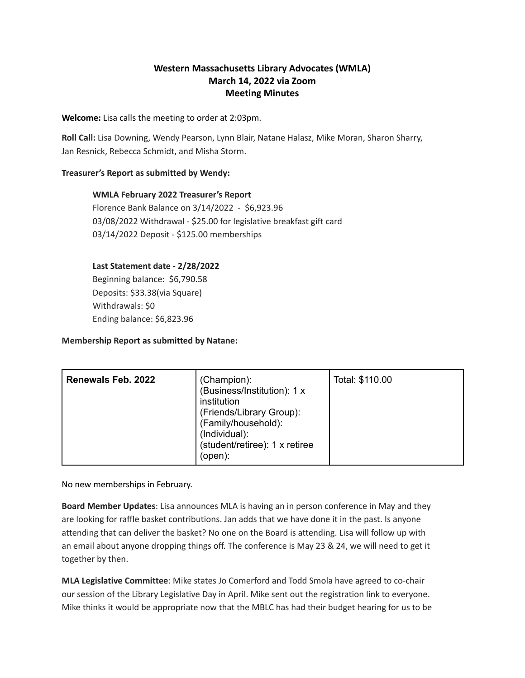# **Western Massachusetts Library Advocates (WMLA) March 14, 2022 via Zoom Meeting Minutes**

## **Welcome:** Lisa calls the meeting to order at 2:03pm.

**Roll Call:** Lisa Downing, Wendy Pearson, Lynn Blair, Natane Halasz, Mike Moran, Sharon Sharry, Jan Resnick, Rebecca Schmidt, and Misha Storm.

# **Treasurer's Report as submitted by Wendy:**

#### **WMLA February 2022 Treasurer's Report**

Florence Bank Balance on 3/14/2022 - \$6,923.96 03/08/2022 Withdrawal - \$25.00 for legislative breakfast gift card 03/14/2022 Deposit - \$125.00 memberships

# **Last Statement date - 2/28/2022**

Beginning balance: \$6,790.58 Deposits: \$33.38(via Square) Withdrawals: \$0 Ending balance: \$6,823.96

# **Membership Report as submitted by Natane:**

| (open): |
|---------|
|---------|

No new memberships in February.

**Board Member Updates**: Lisa announces MLA is having an in person conference in May and they are looking for raffle basket contributions. Jan adds that we have done it in the past. Is anyone attending that can deliver the basket? No one on the Board is attending. Lisa will follow up with an email about anyone dropping things off. The conference is May 23 & 24, we will need to get it together by then.

**MLA Legislative Committee**: Mike states Jo Comerford and Todd Smola have agreed to co-chair our session of the Library Legislative Day in April. Mike sent out the registration link to everyone. Mike thinks it would be appropriate now that the MBLC has had their budget hearing for us to be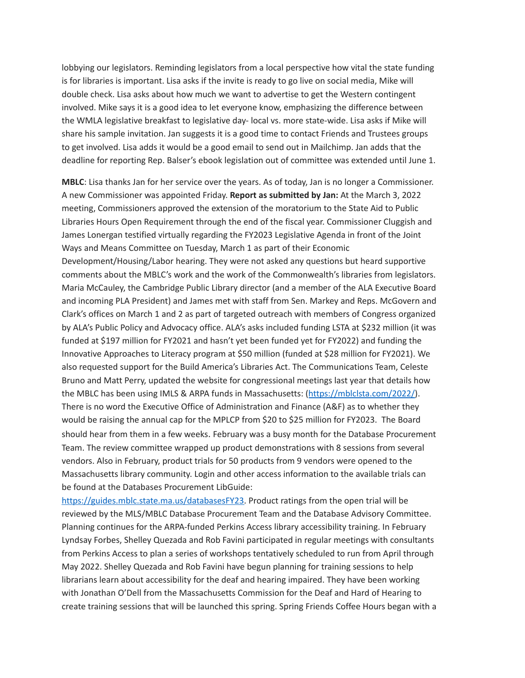lobbying our legislators. Reminding legislators from a local perspective how vital the state funding is for libraries is important. Lisa asks if the invite is ready to go live on social media, Mike will double check. Lisa asks about how much we want to advertise to get the Western contingent involved. Mike says it is a good idea to let everyone know, emphasizing the difference between the WMLA legislative breakfast to legislative day- local vs. more state-wide. Lisa asks if Mike will share his sample invitation. Jan suggests it is a good time to contact Friends and Trustees groups to get involved. Lisa adds it would be a good email to send out in Mailchimp. Jan adds that the deadline for reporting Rep. Balser's ebook legislation out of committee was extended until June 1.

**MBLC**: Lisa thanks Jan for her service over the years. As of today, Jan is no longer a Commissioner. A new Commissioner was appointed Friday. **Report as submitted by Jan:** At the March 3, 2022 meeting, Commissioners approved the extension of the moratorium to the State Aid to Public Libraries Hours Open Requirement through the end of the fiscal year. Commissioner Cluggish and James Lonergan testified virtually regarding the FY2023 Legislative Agenda in front of the Joint Ways and Means Committee on Tuesday, March 1 as part of their Economic Development/Housing/Labor hearing. They were not asked any questions but heard supportive comments about the MBLC's work and the work of the Commonwealth's libraries from legislators. Maria McCauley, the Cambridge Public Library director (and a member of the ALA Executive Board and incoming PLA President) and James met with staff from Sen. Markey and Reps. McGovern and Clark's offices on March 1 and 2 as part of targeted outreach with members of Congress organized by ALA's Public Policy and Advocacy office. ALA's asks included funding LSTA at \$232 million (it was funded at \$197 million for FY2021 and hasn't yet been funded yet for FY2022) and funding the Innovative Approaches to Literacy program at \$50 million (funded at \$28 million for FY2021). We also requested support for the Build America's Libraries Act. The Communications Team, Celeste Bruno and Matt Perry, updated the website for congressional meetings last year that details how the MBLC has been using IMLS & ARPA funds in Massachusetts: (<https://mblclsta.com/2022/>). There is no word the Executive Office of Administration and Finance (A&F) as to whether they would be raising the annual cap for the MPLCP from \$20 to \$25 million for FY2023. The Board should hear from them in a few weeks. February was a busy month for the Database Procurement Team. The review committee wrapped up product demonstrations with 8 sessions from several vendors. Also in February, product trials for 50 products from 9 vendors were opened to the Massachusetts library community. Login and other access information to the available trials can be found at the Databases Procurement LibGuide:

[https://guides.mblc.state.ma.us/databasesFY23.](https://guides.mblc.state.ma.us/databasesFY23) Product ratings from the open trial will be reviewed by the MLS/MBLC Database Procurement Team and the Database Advisory Committee. Planning continues for the ARPA-funded Perkins Access library accessibility training. In February Lyndsay Forbes, Shelley Quezada and Rob Favini participated in regular meetings with consultants from Perkins Access to plan a series of workshops tentatively scheduled to run from April through May 2022. Shelley Quezada and Rob Favini have begun planning for training sessions to help librarians learn about accessibility for the deaf and hearing impaired. They have been working with Jonathan O'Dell from the Massachusetts Commission for the Deaf and Hard of Hearing to create training sessions that will be launched this spring. Spring Friends Coffee Hours began with a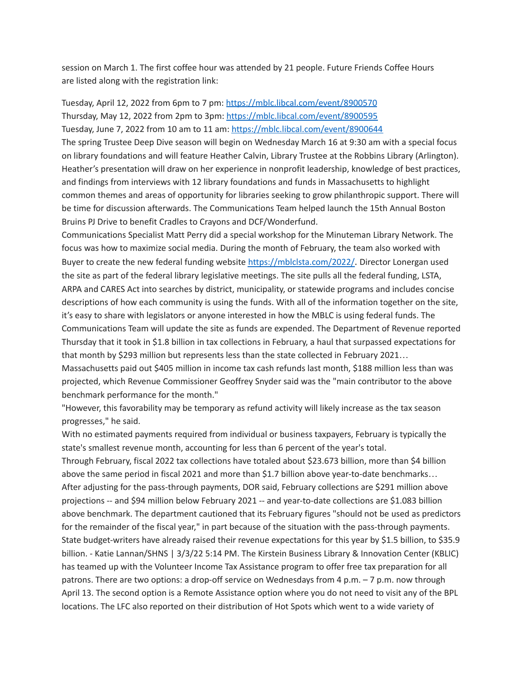session on March 1. The first coffee hour was attended by 21 people. Future Friends Coffee Hours are listed along with the registration link:

Tuesday, April 12, 2022 from 6pm to 7 pm: [https://mblc.libcal.com/event/8900570](https://urldefense.com/v3/__https:/mblc.libcal.com/event/8900570__;!!CUhgQOZqV7M!yGgs8J4tEDkpIq5TNitzwquJ3bD25ZFFdOylaltkpyEe6ZlqtV_M-5bjwRgSIlbCSUDIHQ$) Thursday, May 12, 2022 from 2pm to 3pm: [https://mblc.libcal.com/event/8900595](https://urldefense.com/v3/__https:/mblc.libcal.com/event/8900595__;!!CUhgQOZqV7M!yGgs8J4tEDkpIq5TNitzwquJ3bD25ZFFdOylaltkpyEe6ZlqtV_M-5bjwRgSIlYIF_OdTQ$) Tuesday, June 7, 2022 from 10 am to 11 am: [https://mblc.libcal.com/event/8900644](https://urldefense.com/v3/__https:/mblc.libcal.com/event/8900644__;!!CUhgQOZqV7M!yGgs8J4tEDkpIq5TNitzwquJ3bD25ZFFdOylaltkpyEe6ZlqtV_M-5bjwRgSIlaOv74L_A$)

The spring Trustee Deep Dive season will begin on Wednesday March 16 at 9:30 am with a special focus on library foundations and will feature Heather Calvin, Library Trustee at the Robbins Library (Arlington). Heather's presentation will draw on her experience in nonprofit leadership, knowledge of best practices, and findings from interviews with 12 library foundations and funds in Massachusetts to highlight common themes and areas of opportunity for libraries seeking to grow philanthropic support. There will be time for discussion afterwards. The Communications Team helped launch the 15th Annual Boston Bruins PJ Drive to benefit Cradles to Crayons and DCF/Wonderfund.

Communications Specialist Matt Perry did a special workshop for the Minuteman Library Network. The focus was how to maximize social media. During the month of February, the team also worked with Buyer to create the new federal funding website <https://mblclsta.com/2022/>. Director Lonergan used the site as part of the federal library legislative meetings. The site pulls all the federal funding, LSTA, ARPA and CARES Act into searches by district, municipality, or statewide programs and includes concise descriptions of how each community is using the funds. With all of the information together on the site, it's easy to share with legislators or anyone interested in how the MBLC is using federal funds. The Communications Team will update the site as funds are expended. The Department of Revenue reported Thursday that it took in \$1.8 billion in tax collections in February, a haul that surpassed expectations for that month by \$293 million but represents less than the state collected in February 2021…

Massachusetts paid out \$405 million in income tax cash refunds last month, \$188 million less than was projected, which Revenue Commissioner Geoffrey Snyder said was the "main contributor to the above benchmark performance for the month."

"However, this favorability may be temporary as refund activity will likely increase as the tax season progresses," he said.

With no estimated payments required from individual or business taxpayers, February is typically the state's smallest revenue month, accounting for less than 6 percent of the year's total.

Through February, fiscal 2022 tax collections have totaled about \$23.673 billion, more than \$4 billion above the same period in fiscal 2021 and more than \$1.7 billion above year-to-date benchmarks… After adjusting for the pass-through payments, DOR said, February collections are \$291 million above projections -- and \$94 million below February 2021 -- and year-to-date collections are \$1.083 billion above benchmark. The department cautioned that its February figures "should not be used as predictors for the remainder of the fiscal year," in part because of the situation with the pass-through payments. State budget-writers have already raised their revenue expectations for this year by \$1.5 billion, to \$35.9 billion. - Katie Lannan/SHNS | 3/3/22 5:14 PM. The Kirstein Business Library & Innovation Center (KBLIC) has teamed up with the Volunteer Income Tax Assistance program to offer free tax preparation for all patrons. There are two options: a drop-off service on Wednesdays from 4 p.m. – 7 p.m. now through April 13. The second option is a Remote Assistance option where you do not need to visit any of the BPL locations. The LFC also reported on their distribution of Hot Spots which went to a wide variety of